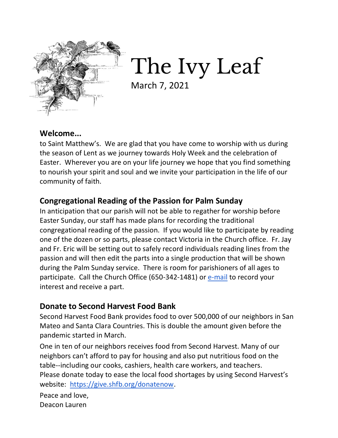

The Ivy Leaf

March 7, 2021

### **Welcome...**

to Saint Matthew's. We are glad that you have come to worship with us during the season of Lent as we journey towards Holy Week and the celebration of Easter. Wherever you are on your life journey we hope that you find something to nourish your spirit and soul and we invite your participation in the life of our community of faith.

# **Congregational Reading of the Passion for Palm Sunday**

In anticipation that our parish will not be able to regather for worship before Easter Sunday, our staff has made plans for recording the traditional congregational reading of the passion. If you would like to participate by reading one of the dozen or so parts, please contact Victoria in the Church office. Fr. Jay and Fr. Eric will be setting out to safely record individuals reading lines from the passion and will then edit the parts into a single production that will be shown during the Palm Sunday service. There is room for parishioners of all ages to participate. Call the Church Office (650-342-1481) or [e-mail](mailto:office@episcopalstmatthew.org) to record your interest and receive a part.

### **Donate to Second Harvest Food Bank**

Second Harvest Food Bank provides food to over 500,000 of our neighbors in San Mateo and Santa Clara Countries. This is double the amount given before the pandemic started in March.

One in ten of our neighbors receives food from Second Harvest. Many of our neighbors can't afford to pay for housing and also put nutritious food on the table--including our cooks, cashiers, health care workers, and teachers. Please donate today to ease the local food shortages by using Second Harvest's website: [https://give.shfb.org/donatenow.](https://give.shfb.org/donatenow)

Peace and love, Deacon Lauren